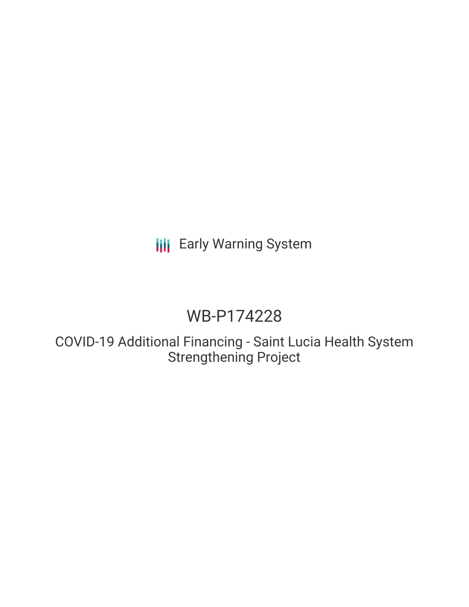## **III** Early Warning System

# WB-P174228

COVID-19 Additional Financing - Saint Lucia Health System Strengthening Project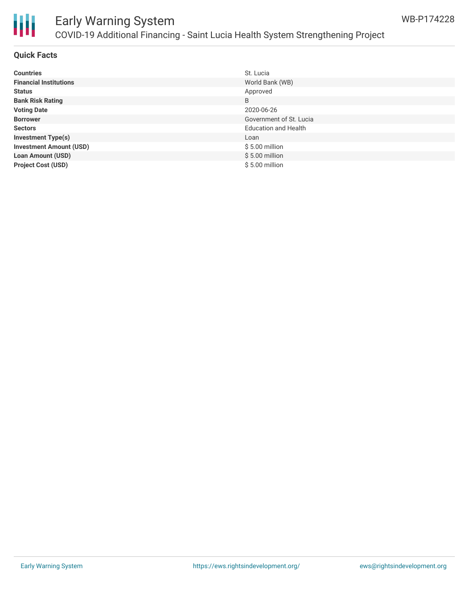

#### **Quick Facts**

| <b>Countries</b>               | St. Lucia                   |
|--------------------------------|-----------------------------|
| <b>Financial Institutions</b>  | World Bank (WB)             |
| <b>Status</b>                  | Approved                    |
| <b>Bank Risk Rating</b>        | B                           |
| <b>Voting Date</b>             | 2020-06-26                  |
| <b>Borrower</b>                | Government of St. Lucia     |
| <b>Sectors</b>                 | <b>Education and Health</b> |
| <b>Investment Type(s)</b>      | Loan                        |
| <b>Investment Amount (USD)</b> | $$5.00$ million             |
| <b>Loan Amount (USD)</b>       | $$5.00$ million             |
| <b>Project Cost (USD)</b>      | $$5.00$ million             |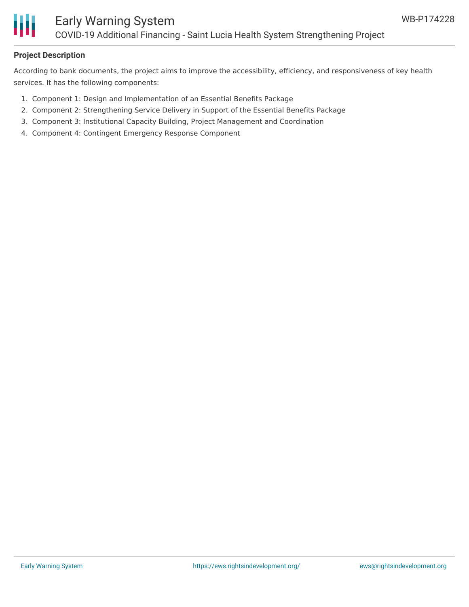

#### **Project Description**

According to bank documents, the project aims to improve the accessibility, efficiency, and responsiveness of key health services. It has the following components:

- 1. Component 1: Design and Implementation of an Essential Benefits Package
- 2. Component 2: Strengthening Service Delivery in Support of the Essential Benefits Package
- 3. Component 3: Institutional Capacity Building, Project Management and Coordination
- 4. Component 4: Contingent Emergency Response Component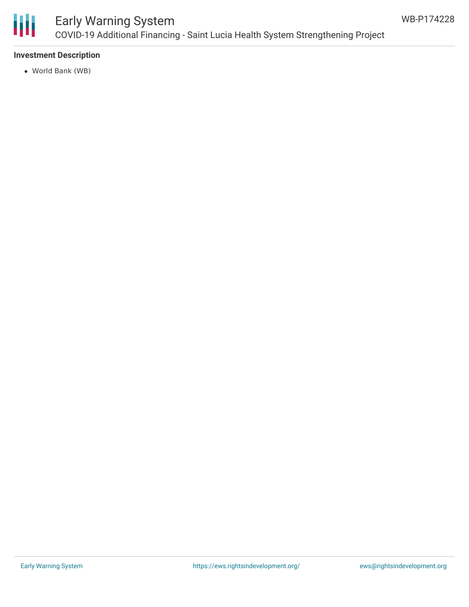

### Early Warning System COVID-19 Additional Financing - Saint Lucia Health System Strengthening Project

#### **Investment Description**

World Bank (WB)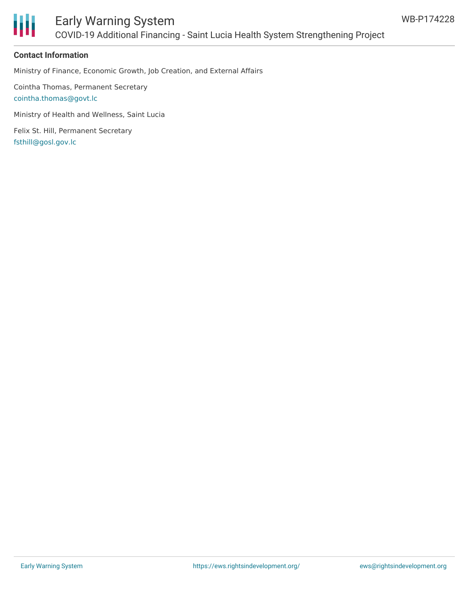

#### **Contact Information**

Ministry of Finance, Economic Growth, Job Creation, and External Affairs

Cointha Thomas, Permanent Secretary [cointha.thomas@govt.lc](mailto:cointha.thomas@govt.lc)

Ministry of Health and Wellness, Saint Lucia

Felix St. Hill, Permanent Secretary [fsthill@gosl.gov.lc](mailto:fsthill@gosl.gov.lc)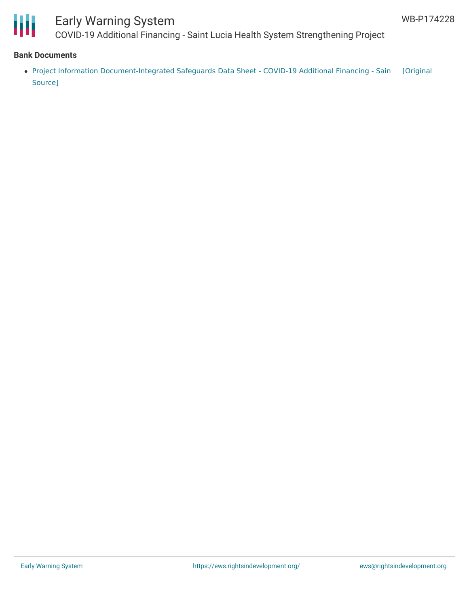

## Early Warning System

COVID-19 Additional Financing - Saint Lucia Health System Strengthening Project

#### **Bank Documents**

Project Information [Document-Integrated](https://ewsdata.rightsindevelopment.org/files/documents/28/WB-P174228.pdf) Safeguards Data Sheet - COVID-19 Additional Financing - Sain [Original Source]